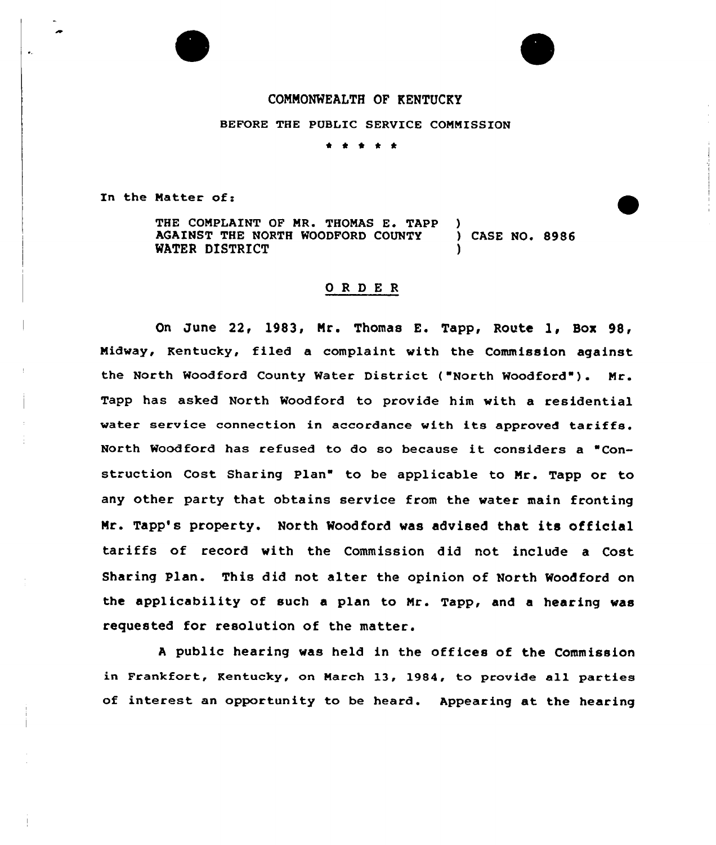

 $\bullet$ 



## CONNONWEALTH OF KENTUCKY

BEFORE THE PUBLIC SERVICE COMMISSION

\* \* e \* \*

In the Matter of:

THE COMPLAINT OF MR. THOMAS E. TAPP AGAINST THE NORTH WOODFORD COUNTY ) CASE NO. 8986 WATER DISTRICT

## ORDER

On June 22, 1983, Nr. Thomas E. Tapp, Route 1, Box 98, Midway, Kentucky, filed a complaint with the Commission against the North Woodford County Water District ("North Woodford"). Mr. Tapp has asked North Woodford to provide him with a residential water service connection in accordance with its approved tariffs. North Woodford has refused to do so because it considers <sup>a</sup> "Construction Cost Sharing Plan" to be applicable to Mr. Tapp or to any other party that obtains service from the water main fronting Mr. Tapp's property. North Woodford was advised that its official tariffs of record with the Commission did not include a Cost Sharing Plan. This did not alter the opinion of North Woodford on the applicability of such a plan to Mr. Tapp, and a hearing was requested for resolution of the matter.

<sup>A</sup> public hearing was held in the offices of the Commission in Frankfort, Kentucky, on March 13, 1984, to provide all parties of interest an opportunity to be heard. Appearing at the hearing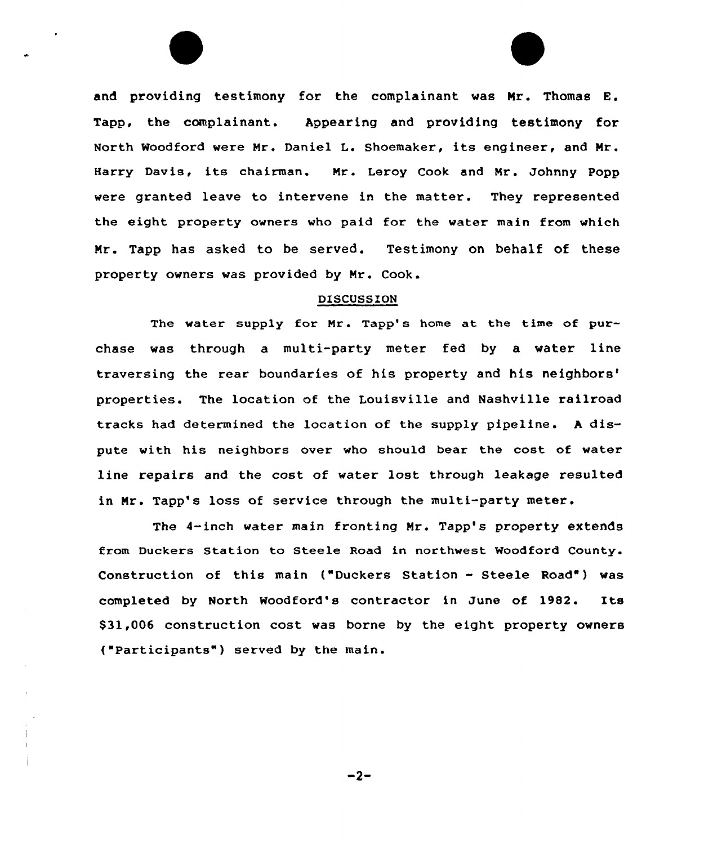and providing testimony for the complainant was Mr. Thomas E. Tapp, the complainant. Appearing and providing testimony for North Woodford were Nr. Daniel L. Shoemaker, its engineer, and Mr. Harry Davis, its chairman. Nr. Leroy Cook and Nr. Johnny Popp were granted leave to intervene in the matter. They represented the eight property owners who paid for the water main from which Mr. Tapp has asked to be served. Testimony on behalf of these property owners was provided by Nr. Cook.

## DISCUSSION

The water supply for Nr. Tapp's home at the time of purchase was through a multi-party meter fed by a water line traversing the rear boundaries of his property and his neighbors' properties. The location of the Louisville and Nashville railroad tracks had determined the location of the supply pipeline. <sup>A</sup> dispute with his neighbors over who should bear the cost of water line repairs and the cost of water lost through leakage resulted in Mr. Tapp's loss of service through the multi-party meter.

The 4-inch water main fronting Mr. Tapp's property extends from Duckers Station to Steele Road in northwest Woodford County. Construction of this main ("Duckers Station - Steele Road") was completed by North Woodford's contractor in June of 1982. Its \$31,006 construction cost was borne by the eight property owners ("Participants") served by the main.

 $-2-$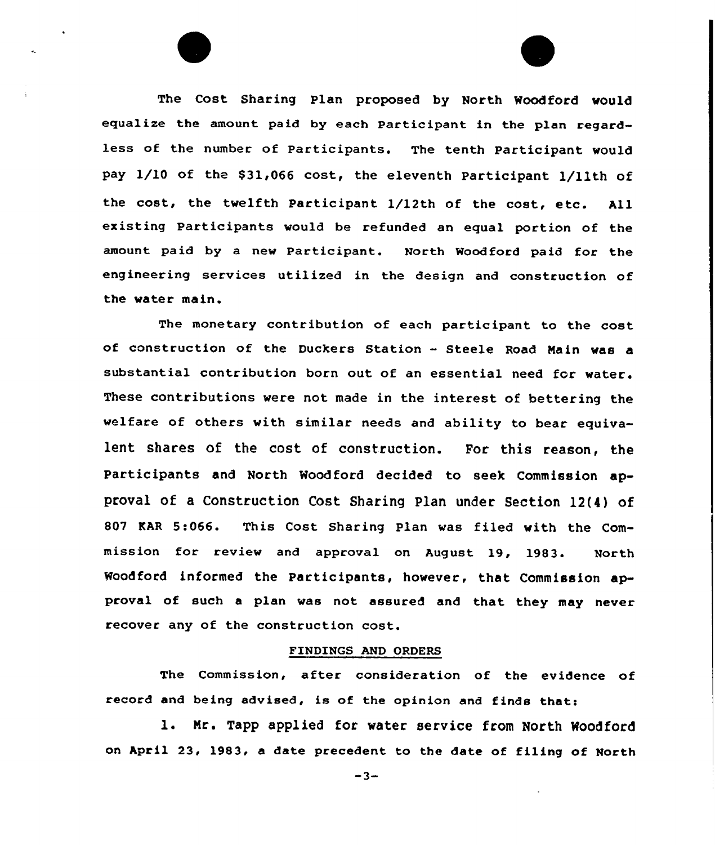The Cost Sharing Plan proposed by North Woodford would equalize the amount paid by each Participant in the plan regardless of the number of Participants. The tenth participant would pay 1/10 of the \$31,066 cost, the eleventh Participant 1/11th of the cost, the twelfth Participant 1/12th of the cost, etc. All existing Participants would be refunded an equal portion of the amount paid by a new Participant. North Woodford paid for the engineering services utilized in the design and construction of the water mein.

The monetary contribution of each participant to the cost of construction of the Duckers Station - Steele Road Main was a substantial contribution born out of an essential need for water. These contributions were not made in the interest of bettering the welfare of others with similar needs and ability to bear equivalent shares of the cost of construction. For this reason, the Participants and North Woodford decided to seek Commission approval of a Construction Cost Sharing Plan under Section 12(4) of 807 EAR 5:066. This Cost Sharing plan was filed with the Commission for review and approval on August 19, 1983. North Woodford informed the Participants, however, that Commission approval of such a plan was not assured and that they may never recover any of the construction cost.

## FINDINGS AND ORDERS

The Commission, after consideration of the evidence of record and being advised, is of the opinion and finds that:

l. Nr. Tapp applied for water service from North Noodford on April 23, 1983, a date precedent to the date of filing of North

 $-3-$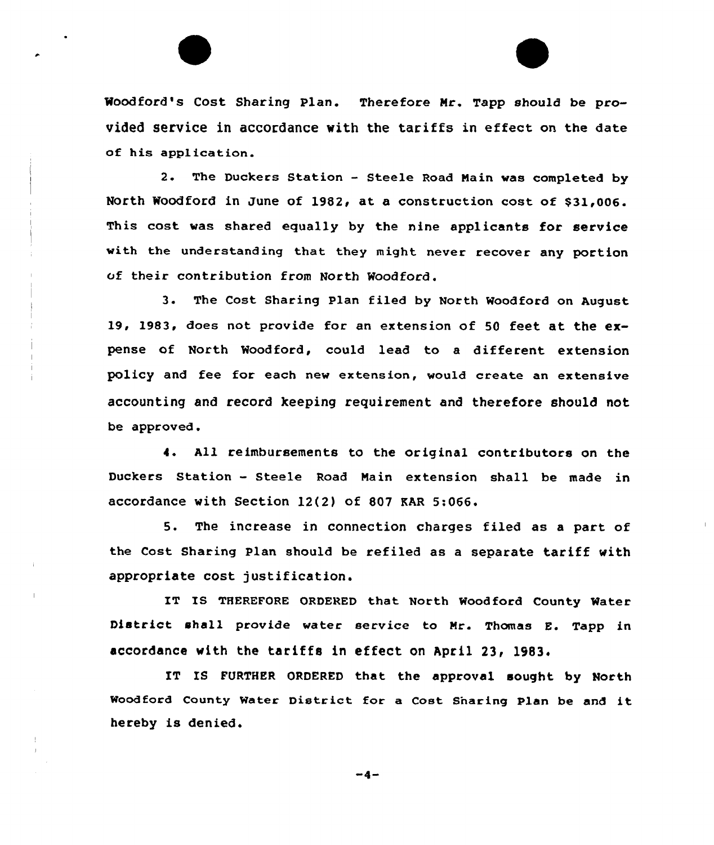Woodford's Cost Sharing Plan. Therefore Mr. Tapp should be provided service in accordance with the tariffs in effect on the date of his application.

2. The Duckers Station — Steele Road Nain was completed by North Woodford in June of 1982, at a construction cost of \$31,006. This cost was shared equally by the nine applicants for service with the understanding that they might never recover any portion of their contribution from North Woodford.

3. The Cost Sharing Plan filed by North Woodford on August 19, 1983, does not provide for an extension of 50 feet at the expense of North Woodford, could lead to a different extension policy and fee for each new extension, would create an extensive accounting and record keeping requirement and therefore should not be approved.

4. All reimbursements to the original contributors on the Duckers Station — Steele Road Nain extension shall be made in accordance with Section 12(2) of 807 KAR 5:066.

5. The increase in connection charges filed as a part of the Cost Sharing Plan should be refiled as a separate tariff with appropriate cost justification.

IT IS THEREFORE ORDERED that North Woodford County Water District shall provide water service to Mr. Thomas E. Tapp in accordance with the tariffs in effect on April 23, 1983.

IT IS FURTHER ORDERED that the approval sought by North Moodford County Water District for <sup>a</sup> Cost Snaring Plan be and it hereby is denied.

 $-4-$